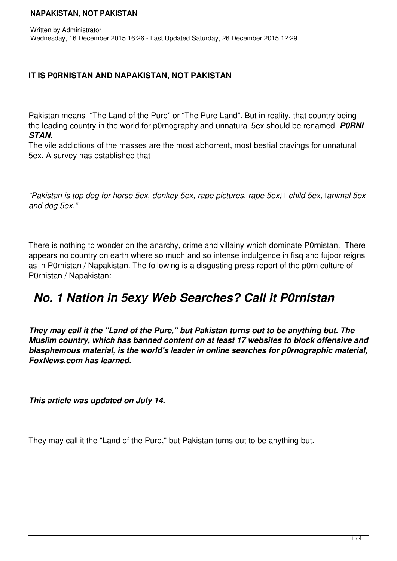#### **NAPAKISTAN, NOT PAKISTAN**

## **IT IS P0RNISTAN AND NAPAKISTAN, NOT PAKISTAN**

Pakistan means "The Land of the Pure" or "The Pure Land". But in reality, that country being the leading country in the world for p0rnography and unnatural 5ex should be renamed *P0RNI STAN.* 

The vile addictions of the masses are the most abhorrent, most bestial cravings for unnatural 5ex. A survey has established that

*"Pakistan is top dog for horse 5ex, donkey 5ex, rape pictures, rape 5ex, child 5ex, animal 5ex and dog 5ex."*

There is nothing to wonder on the anarchy, crime and villainy which dominate P0rnistan. There appears no country on earth where so much and so intense indulgence in fisq and fujoor reigns as in P0rnistan / Napakistan. The following is a disgusting press report of the p0rn culture of P0rnistan / Napakistan:

# *No. 1 Nation in 5exy Web Searches? Call it P0rnistan*

*They may call it the "Land of the Pure," but Pakistan turns out to be anything but. The Muslim country, which has banned content on at least 17 websites to block offensive and blasphemous material, is the world's leader in online searches for p0rnographic material, FoxNews.com has learned.*

*This article was updated on July 14.*

They may call it the "Land of the Pure," but Pakistan turns out to be anything but.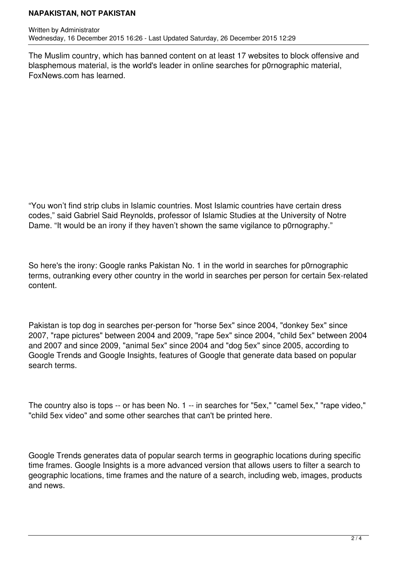### **NAPAKISTAN, NOT PAKISTAN**

The Muslim country, which has banned content on at least 17 websites to block offensive and blasphemous material, is the world's leader in online searches for p0rnographic material, FoxNews.com has learned.

"You won't find strip clubs in Islamic countries. Most Islamic countries have certain dress codes," said Gabriel Said Reynolds, professor of Islamic Studies at the University of Notre Dame. "It would be an irony if they haven't shown the same vigilance to p0rnography."

So here's the irony: Google ranks Pakistan No. 1 in the world in searches for p0rnographic terms, outranking every other country in the world in searches per person for certain 5ex-related content.

Pakistan is top dog in searches per-person for "horse 5ex" since 2004, "donkey 5ex" since 2007, "rape pictures" between 2004 and 2009, "rape 5ex" since 2004, "child 5ex" between 2004 and 2007 and since 2009, "animal 5ex" since 2004 and "dog 5ex" since 2005, according to Google Trends and Google Insights, features of Google that generate data based on popular search terms.

The country also is tops -- or has been No. 1 -- in searches for "5ex," "camel 5ex," "rape video," "child 5ex video" and some other searches that can't be printed here.

Google Trends generates data of popular search terms in geographic locations during specific time frames. Google Insights is a more advanced version that allows users to filter a search to geographic locations, time frames and the nature of a search, including web, images, products and news.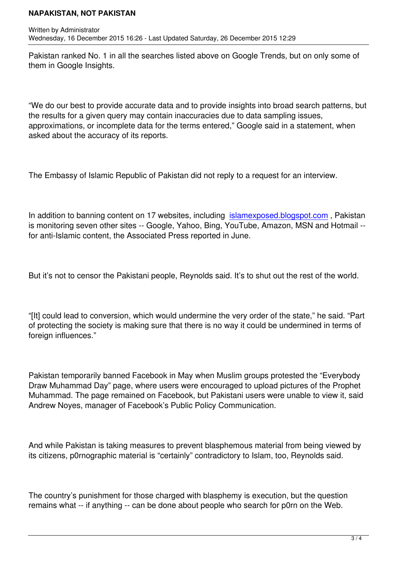Written by Administrator and Administrator and Administrator and Administrator and Administrator and Administrator and Administrator and Administrator and Administrator and Administrator and Administrator and Administrator

Pakistan ranked No. 1 in all the searches listed above on Google Trends, but on only some of them in Google Insights.

"We do our best to provide accurate data and to provide insights into broad search patterns, but the results for a given query may contain inaccuracies due to data sampling issues, approximations, or incomplete data for the terms entered," Google said in a statement, when asked about the accuracy of its reports.

The Embassy of Islamic Republic of Pakistan did not reply to a request for an interview.

In addition to banning content on 17 websites, including islamexposed.blogspot.com , Pakistan is monitoring seven other sites -- Google, Yahoo, Bing, YouTube, Amazon, MSN and Hotmail - for anti-Islamic content, the Associated Press reported in June.

But it's not to censor the Pakistani people, Reynolds said. It's to shut out the rest of the world.

"[It] could lead to conversion, which would undermine the very order of the state," he said. "Part of protecting the society is making sure that there is no way it could be undermined in terms of foreign influences."

Pakistan temporarily banned Facebook in May when Muslim groups protested the "Everybody Draw Muhammad Day" page, where users were encouraged to upload pictures of the Prophet Muhammad. The page remained on Facebook, but Pakistani users were unable to view it, said Andrew Noyes, manager of Facebook's Public Policy Communication.

And while Pakistan is taking measures to prevent blasphemous material from being viewed by its citizens, p0rnographic material is "certainly" contradictory to Islam, too, Reynolds said.

The country's punishment for those charged with blasphemy is execution, but the question remains what -- if anything -- can be done about people who search for p0rn on the Web.